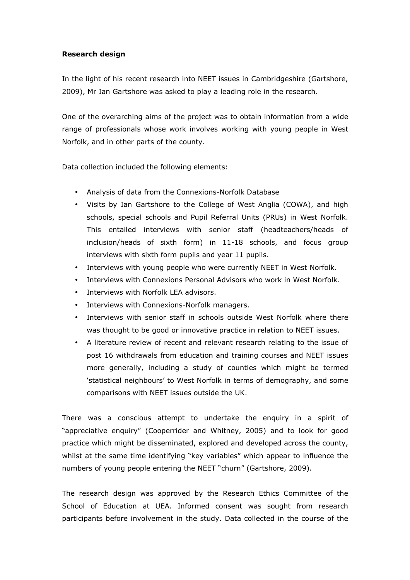## Research design

In the light of his recent research into NEET issues in Cambridgeshire (Gartshore, 2009), Mr Ian Gartshore was asked to play a leading role in the research.

One of the overarching aims of the project was to obtain information from a wide range of professionals whose work involves working with young people in West Norfolk, and in other parts of the county.

Data collection included the following elements:

- Analysis of data from the Connexions-Norfolk Database
- Visits by Ian Gartshore to the College of West Anglia (COWA), and high schools, special schools and Pupil Referral Units (PRUs) in West Norfolk. This entailed interviews with senior staff (headteachers/heads of inclusion/heads of sixth form) in 11-18 schools, and focus group interviews with sixth form pupils and year 11 pupils.
- Interviews with young people who were currently NEET in West Norfolk.
- Interviews with Connexions Personal Advisors who work in West Norfolk.
- Interviews with Norfolk LEA advisors.
- Interviews with Connexions-Norfolk managers.
- Interviews with senior staff in schools outside West Norfolk where there was thought to be good or innovative practice in relation to NEET issues.
- A literature review of recent and relevant research relating to the issue of post 16 withdrawals from education and training courses and NEET issues more generally, including a study of counties which might be termed 'statistical neighbours' to West Norfolk in terms of demography, and some comparisons with NEET issues outside the UK.

There was a conscious attempt to undertake the enquiry in a spirit of "appreciative enquiry" (Cooperrider and Whitney, 2005) and to look for good practice which might be disseminated, explored and developed across the county, whilst at the same time identifying "key variables" which appear to influence the numbers of young people entering the NEET "churn" (Gartshore, 2009).

The research design was approved by the Research Ethics Committee of the School of Education at UEA. Informed consent was sought from research participants before involvement in the study. Data collected in the course of the